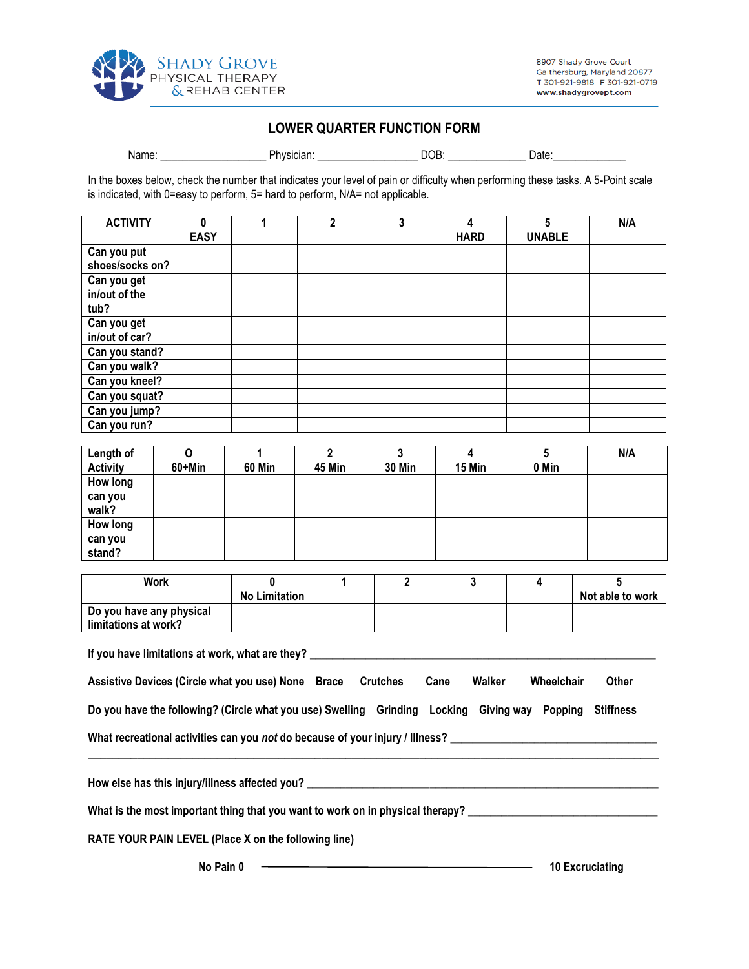

## **LOWER QUARTER FUNCTION FORM**

Name: \_\_\_\_\_\_\_\_\_\_\_\_\_\_\_\_\_\_\_\_\_\_\_\_\_\_\_\_Physician: \_\_\_\_\_\_\_\_\_\_\_\_\_\_\_\_\_\_\_\_\_\_\_\_\_\_\_\_DOB: \_\_\_\_\_\_\_\_\_\_\_\_\_\_\_\_\_\_\_\_\_Date:

In the boxes below, check the number that indicates your level of pain or difficulty when performing these tasks. A 5-Point scale is indicated, with 0=easy to perform, 5= hard to perform, N/A= not applicable.

| <b>ACTIVITY</b> | 0           | 2 | 3 | 4           | 5             | N/A |
|-----------------|-------------|---|---|-------------|---------------|-----|
|                 | <b>EASY</b> |   |   | <b>HARD</b> | <b>UNABLE</b> |     |
| Can you put     |             |   |   |             |               |     |
| shoes/socks on? |             |   |   |             |               |     |
| Can you get     |             |   |   |             |               |     |
| in/out of the   |             |   |   |             |               |     |
| tub?            |             |   |   |             |               |     |
| Can you get     |             |   |   |             |               |     |
| in/out of car?  |             |   |   |             |               |     |
| Can you stand?  |             |   |   |             |               |     |
| Can you walk?   |             |   |   |             |               |     |
| Can you kneel?  |             |   |   |             |               |     |
| Can you squat?  |             |   |   |             |               |     |
| Can you jump?   |             |   |   |             |               |     |
| Can you run?    |             |   |   |             |               |     |

| Length of       | 0      |               | ∩             | າ             |        |       | N/A |
|-----------------|--------|---------------|---------------|---------------|--------|-------|-----|
| <b>Activity</b> | 60+Min | <b>60 Min</b> | <b>45 Min</b> | <b>30 Min</b> | 15 Min | 0 Min |     |
| How long        |        |               |               |               |        |       |     |
| can you         |        |               |               |               |        |       |     |
| walk?           |        |               |               |               |        |       |     |
| How long        |        |               |               |               |        |       |     |
| can you         |        |               |               |               |        |       |     |
| stand?          |        |               |               |               |        |       |     |

| <b>Work</b>                                      | No Limitation |  |  | Not able to work |
|--------------------------------------------------|---------------|--|--|------------------|
| Do you have any physical<br>limitations at work? |               |  |  |                  |

**If you have limitations at work, what are they? \_\_\_\_\_\_\_\_\_\_\_\_\_\_\_\_\_\_\_\_\_\_\_\_\_\_\_\_\_\_\_\_\_\_\_\_\_\_\_\_\_\_\_\_\_\_\_\_\_\_\_\_\_\_\_\_\_\_\_\_\_\_**

| Assistive Devices (Circle what you use) None Brace                                                      | Crutches | Cane | Walker | Wheelchair | Other |
|---------------------------------------------------------------------------------------------------------|----------|------|--------|------------|-------|
| Do you have the following? (Circle what you use) Swelling Grinding Locking Giving way Popping Stiffness |          |      |        |            |       |

**\_\_\_\_\_\_\_\_\_\_\_\_\_\_\_\_\_\_\_\_\_\_\_\_\_\_\_\_\_\_\_\_\_\_\_\_\_\_\_\_\_\_\_\_\_\_\_\_\_\_\_\_\_\_\_\_\_\_\_\_\_\_\_\_\_\_\_\_\_\_\_\_\_\_\_\_\_\_\_\_\_\_\_\_\_\_\_\_\_\_\_\_\_**

**What recreational activities can you** *not* **do because of your injury / Illness? \_\_\_\_\_\_\_\_\_\_\_\_\_\_\_\_\_\_\_\_\_\_\_\_\_\_\_\_\_\_\_\_\_\_\_\_\_**

**How else has this injury/illness affected you? \_\_\_\_\_\_\_\_\_\_\_\_\_\_\_\_\_\_\_\_\_\_\_\_\_\_\_\_\_\_\_\_\_\_\_\_\_\_\_\_\_\_\_\_\_\_\_\_\_\_\_\_\_\_\_\_\_\_\_\_\_\_\_**

What is the most important thing that you want to work on in physical therapy? **William Construction Construction** 

**RATE YOUR PAIN LEVEL (Place X on the following line)**